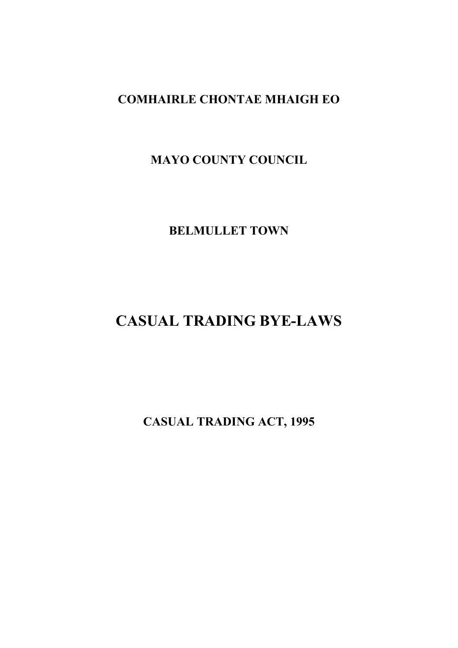## **COMHAIRLE CHONTAE MHAIGH EO**

## **MAYO COUNTY COUNCIL**

**BELMULLET TOWN**

# **CASUAL TRADING BYE-LAWS**

**CASUAL TRADING ACT, 1995**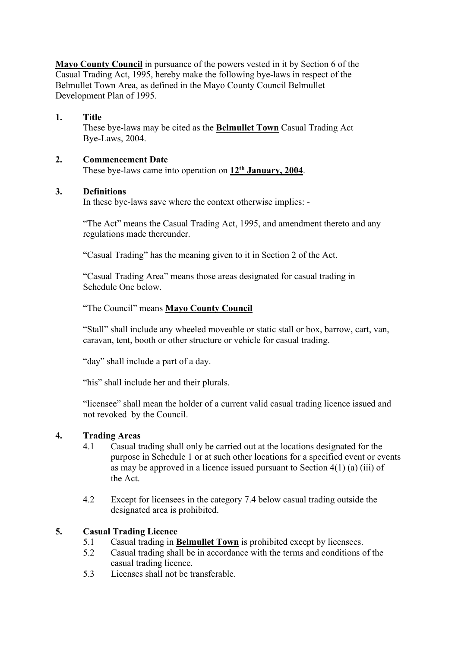**Mayo County Council** in pursuance of the powers vested in it by Section 6 of the Casual Trading Act, 1995, hereby make the following bye-laws in respect of the Belmullet Town Area, as defined in the Mayo County Council Belmullet Development Plan of 1995.

#### **1. Title**

These bye-laws may be cited as the **Belmullet Town** Casual Trading Act Bye-Laws, 2004.

#### **2. Commencement Date**

These bye-laws came into operation on **12th January, 2004**.

#### **3. Definitions**

In these bye-laws save where the context otherwise implies: -

"The Act" means the Casual Trading Act, 1995, and amendment thereto and any regulations made thereunder.

"Casual Trading" has the meaning given to it in Section 2 of the Act.

"Casual Trading Area" means those areas designated for casual trading in Schedule One below.

"The Council" means **Mayo County Council**

"Stall" shall include any wheeled moveable or static stall or box, barrow, cart, van, caravan, tent, booth or other structure or vehicle for casual trading.

"day" shall include a part of a day.

"his" shall include her and their plurals.

"licensee" shall mean the holder of a current valid casual trading licence issued and not revoked by the Council.

#### **4. Trading Areas**

- 4.1 Casual trading shall only be carried out at the locations designated for the purpose in Schedule 1 or at such other locations for a specified event or events as may be approved in a licence issued pursuant to Section  $4(1)$  (a) (iii) of the Act.
- 4.2 Except for licensees in the category 7.4 below casual trading outside the designated area is prohibited.

#### **5. Casual Trading Licence**

- 5.1 Casual trading in **Belmullet Town** is prohibited except by licensees.
- 5.2 Casual trading shall be in accordance with the terms and conditions of the casual trading licence.
- 5.3 Licenses shall not be transferable.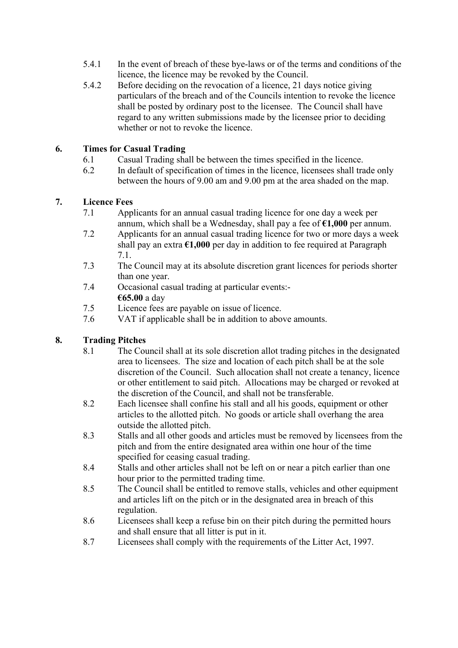- 5.4.1 In the event of breach of these bye-laws or of the terms and conditions of the licence, the licence may be revoked by the Council.
- 5.4.2 Before deciding on the revocation of a licence, 21 days notice giving particulars of the breach and of the Councils intention to revoke the licence shall be posted by ordinary post to the licensee. The Council shall have regard to any written submissions made by the licensee prior to deciding whether or not to revoke the licence.

#### **6. Times for Casual Trading**

- 6.1 Casual Trading shall be between the times specified in the licence.
- 6.2 In default of specification of times in the licence, licensees shall trade only between the hours of 9.00 am and 9.00 pm at the area shaded on the map.

#### **7. Licence Fees**

- 7.1 Applicants for an annual casual trading licence for one day a week per annum, which shall be a Wednesday, shall pay a fee of **€1,000** per annum.
- 7.2 Applicants for an annual casual trading licence for two or more days a week shall pay an extra **€1,000** per day in addition to fee required at Paragraph 7.1.
- 7.3 The Council may at its absolute discretion grant licences for periods shorter than one year.
- 7.4 Occasional casual trading at particular events:- **€65.00** a day
- 7.5 Licence fees are payable on issue of licence.
- 7.6 VAT if applicable shall be in addition to above amounts.

#### **8. Trading Pitches**

- 8.1 The Council shall at its sole discretion allot trading pitches in the designated area to licensees. The size and location of each pitch shall be at the sole discretion of the Council. Such allocation shall not create a tenancy, licence or other entitlement to said pitch. Allocations may be charged or revoked at the discretion of the Council, and shall not be transferable.
- 8.2 Each licensee shall confine his stall and all his goods, equipment or other articles to the allotted pitch. No goods or article shall overhang the area outside the allotted pitch.
- 8.3 Stalls and all other goods and articles must be removed by licensees from the pitch and from the entire designated area within one hour of the time specified for ceasing casual trading.
- 8.4 Stalls and other articles shall not be left on or near a pitch earlier than one hour prior to the permitted trading time.
- 8.5 The Council shall be entitled to remove stalls, vehicles and other equipment and articles lift on the pitch or in the designated area in breach of this regulation.
- 8.6 Licensees shall keep a refuse bin on their pitch during the permitted hours and shall ensure that all litter is put in it.
- 8.7 Licensees shall comply with the requirements of the Litter Act, 1997.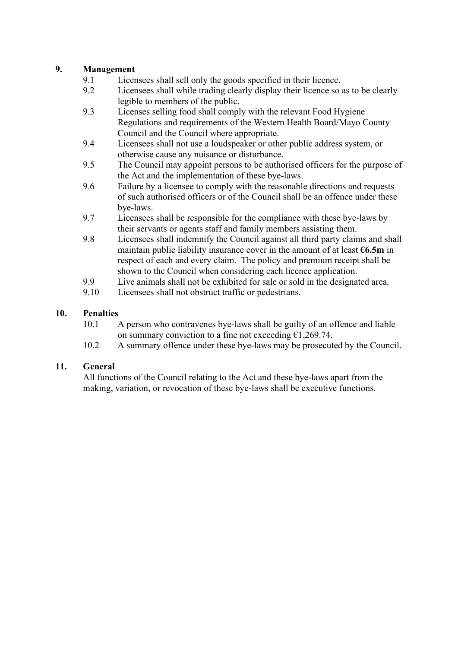#### **9. Management**

- 9.1 Licensees shall sell only the goods specified in their licence.<br>9.2 Licensees shall while trading clearly display their licence so
- Licensees shall while trading clearly display their licence so as to be clearly legible to members of the public.
- 9.3 Licenses selling food shall comply with the relevant Food Hygiene Regulations and requirements of the Western Health Board/Mayo County Council and the Council where appropriate.
- 9.4 Licensees shall not use a loudspeaker or other public address system, or otherwise cause any nuisance or disturbance.
- 9.5 The Council may appoint persons to be authorised officers for the purpose of the Act and the implementation of these bye-laws.
- 9.6 Failure by a licensee to comply with the reasonable directions and requests of such authorised officers or of the Council shall be an offence under these bye-laws.
- 9.7 Licensees shall be responsible for the compliance with these bye-laws by their servants or agents staff and family members assisting them.
- 9.8 Licensees shall indemnify the Council against all third party claims and shall maintain public liability insurance cover in the amount of at least **€6.5m** in respect of each and every claim. The policy and premium receipt shall be shown to the Council when considering each licence application.
- 9.9 Live animals shall not be exhibited for sale or sold in the designated area.
- 9.10 Licensees shall not obstruct traffic or pedestrians.

#### **10. Penalties**

- 10.1 A person who contravenes bye-laws shall be guilty of an offence and liable on summary conviction to a fine not exceeding  $\epsilon$ 1,269.74.
- 10.2 A summary offence under these bye-laws may be prosecuted by the Council.

#### **11. General**

All functions of the Council relating to the Act and these bye-laws apart from the making, variation, or revocation of these bye-laws shall be executive functions.